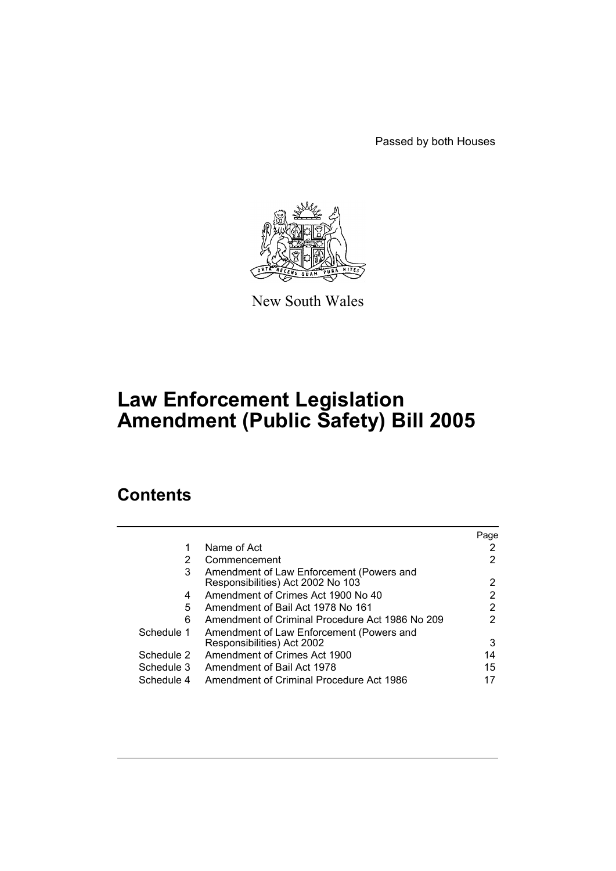Passed by both Houses



New South Wales

# **Law Enforcement Legislation Amendment (Public Safety) Bill 2005**

# **Contents**

|            |                                                 | Page |
|------------|-------------------------------------------------|------|
| 1          | Name of Act                                     |      |
| 2          | Commencement                                    |      |
| 3          | Amendment of Law Enforcement (Powers and        |      |
|            | Responsibilities) Act 2002 No 103               | 2    |
| 4          | Amendment of Crimes Act 1900 No 40              | 2    |
| 5          | Amendment of Bail Act 1978 No 161               | 2    |
| 6          | Amendment of Criminal Procedure Act 1986 No 209 | 2    |
| Schedule 1 | Amendment of Law Enforcement (Powers and        |      |
|            | Responsibilities) Act 2002                      | 3    |
| Schedule 2 | Amendment of Crimes Act 1900                    | 14   |
| Schedule 3 | Amendment of Bail Act 1978                      | 15   |
| Schedule 4 | Amendment of Criminal Procedure Act 1986        |      |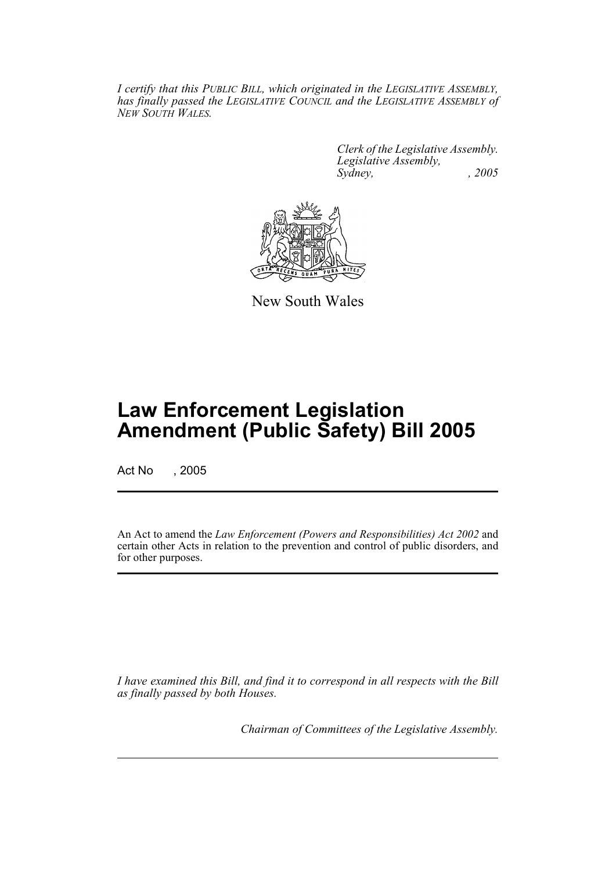*I certify that this PUBLIC BILL, which originated in the LEGISLATIVE ASSEMBLY, has finally passed the LEGISLATIVE COUNCIL and the LEGISLATIVE ASSEMBLY of NEW SOUTH WALES.*

> *Clerk of the Legislative Assembly. Legislative Assembly, Sydney, , 2005*



New South Wales

# **Law Enforcement Legislation Amendment (Public Safety) Bill 2005**

Act No , 2005

An Act to amend the *Law Enforcement (Powers and Responsibilities) Act 2002* and certain other Acts in relation to the prevention and control of public disorders, and for other purposes.

*I have examined this Bill, and find it to correspond in all respects with the Bill as finally passed by both Houses.*

*Chairman of Committees of the Legislative Assembly.*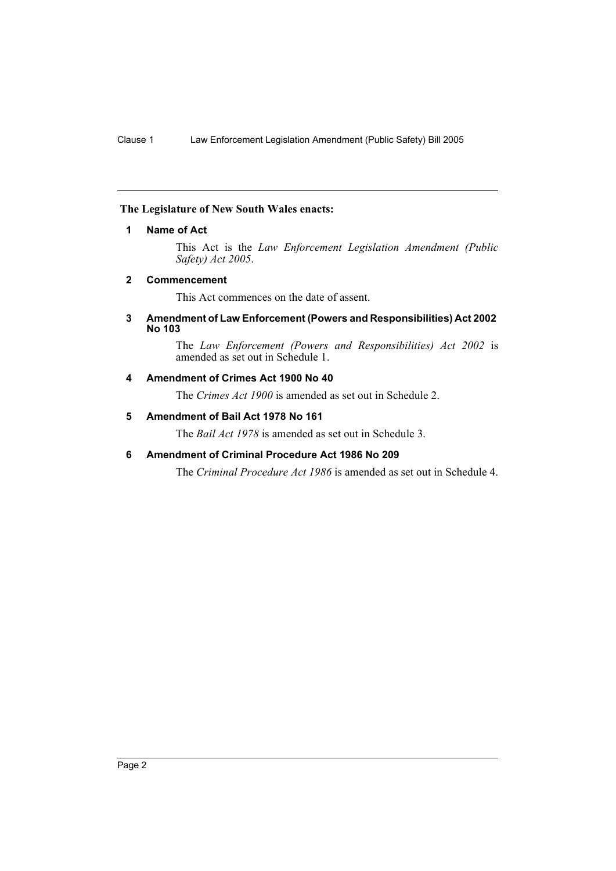## **The Legislature of New South Wales enacts:**

## **1 Name of Act**

This Act is the *Law Enforcement Legislation Amendment (Public Safety) Act 2005*.

### **2 Commencement**

This Act commences on the date of assent.

#### **3 Amendment of Law Enforcement (Powers and Responsibilities) Act 2002 No 103**

The *Law Enforcement (Powers and Responsibilities) Act 2002* is amended as set out in Schedule 1.

## **4 Amendment of Crimes Act 1900 No 40**

The *Crimes Act 1900* is amended as set out in Schedule 2.

## **5 Amendment of Bail Act 1978 No 161**

The *Bail Act 1978* is amended as set out in Schedule 3.

## **6 Amendment of Criminal Procedure Act 1986 No 209**

The *Criminal Procedure Act 1986* is amended as set out in Schedule 4.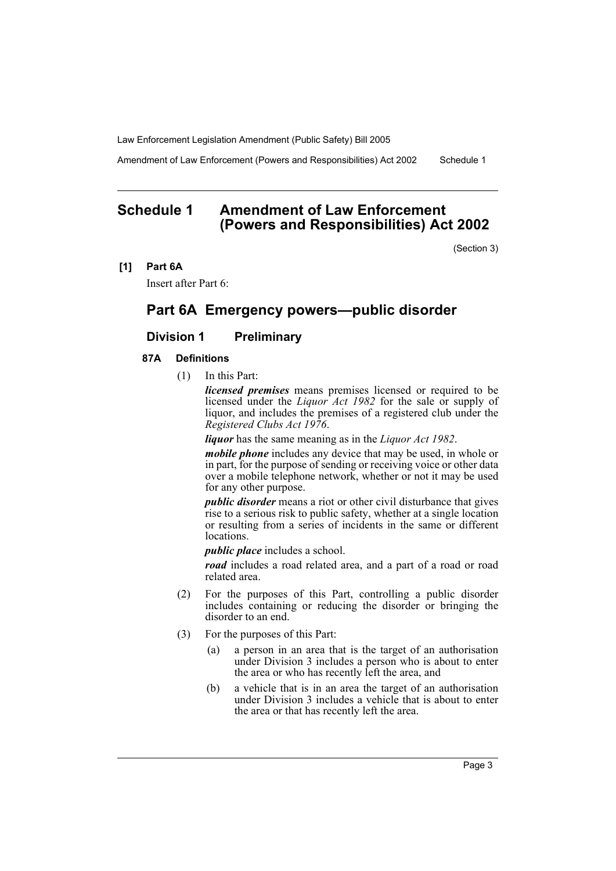Amendment of Law Enforcement (Powers and Responsibilities) Act 2002 Schedule 1

## **Schedule 1 Amendment of Law Enforcement (Powers and Responsibilities) Act 2002**

(Section 3)

**[1] Part 6A**

Insert after Part 6:

## **Part 6A Emergency powers—public disorder**

## **Division 1 Preliminary**

## **87A Definitions**

(1) In this Part:

*licensed premises* means premises licensed or required to be licensed under the *Liquor Act 1982* for the sale or supply of liquor, and includes the premises of a registered club under the *Registered Clubs Act 1976*.

*liquor* has the same meaning as in the *Liquor Act 1982*.

*mobile phone* includes any device that may be used, in whole or in part, for the purpose of sending or receiving voice or other data over a mobile telephone network, whether or not it may be used for any other purpose.

*public disorder* means a riot or other civil disturbance that gives rise to a serious risk to public safety, whether at a single location or resulting from a series of incidents in the same or different locations.

*public place* includes a school.

*road* includes a road related area, and a part of a road or road related area.

- (2) For the purposes of this Part, controlling a public disorder includes containing or reducing the disorder or bringing the disorder to an end.
- (3) For the purposes of this Part:
	- (a) a person in an area that is the target of an authorisation under Division 3 includes a person who is about to enter the area or who has recently left the area, and
	- (b) a vehicle that is in an area the target of an authorisation under Division 3 includes a vehicle that is about to enter the area or that has recently left the area.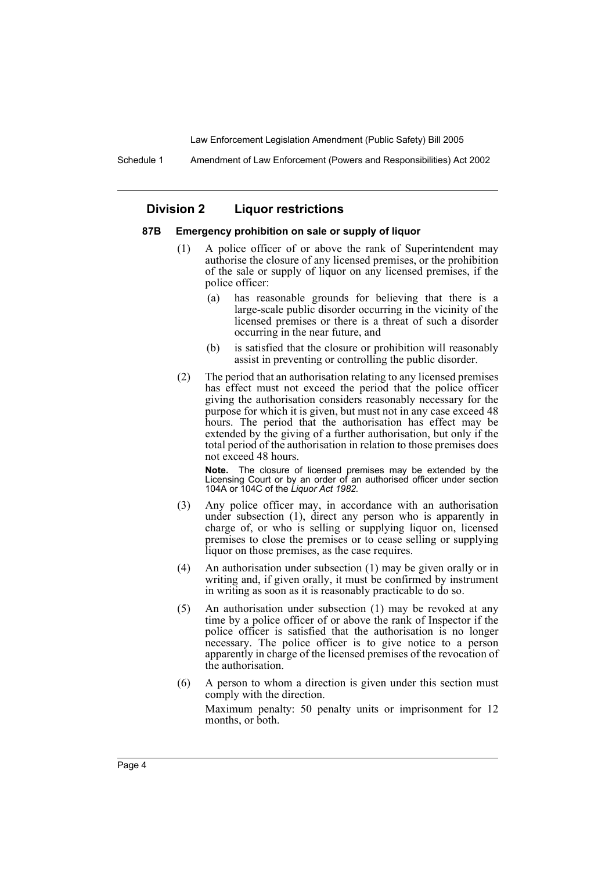Schedule 1 Amendment of Law Enforcement (Powers and Responsibilities) Act 2002

## **Division 2 Liquor restrictions**

#### **87B Emergency prohibition on sale or supply of liquor**

- (1) A police officer of or above the rank of Superintendent may authorise the closure of any licensed premises, or the prohibition of the sale or supply of liquor on any licensed premises, if the police officer:
	- (a) has reasonable grounds for believing that there is a large-scale public disorder occurring in the vicinity of the licensed premises or there is a threat of such a disorder occurring in the near future, and
	- (b) is satisfied that the closure or prohibition will reasonably assist in preventing or controlling the public disorder.
- (2) The period that an authorisation relating to any licensed premises has effect must not exceed the period that the police officer giving the authorisation considers reasonably necessary for the purpose for which it is given, but must not in any case exceed 48 hours. The period that the authorisation has effect may be extended by the giving of a further authorisation, but only if the total period of the authorisation in relation to those premises does not exceed 48 hours.

**Note.** The closure of licensed premises may be extended by the Licensing Court or by an order of an authorised officer under section 104A or 104C of the *Liquor Act 1982.*

- (3) Any police officer may, in accordance with an authorisation under subsection (1), direct any person who is apparently in charge of, or who is selling or supplying liquor on, licensed premises to close the premises or to cease selling or supplying liquor on those premises, as the case requires.
- (4) An authorisation under subsection (1) may be given orally or in writing and, if given orally, it must be confirmed by instrument in writing as soon as it is reasonably practicable to do so.
- (5) An authorisation under subsection (1) may be revoked at any time by a police officer of or above the rank of Inspector if the police officer is satisfied that the authorisation is no longer necessary. The police officer is to give notice to a person apparently in charge of the licensed premises of the revocation of the authorisation.
- (6) A person to whom a direction is given under this section must comply with the direction.

Maximum penalty: 50 penalty units or imprisonment for 12 months, or both.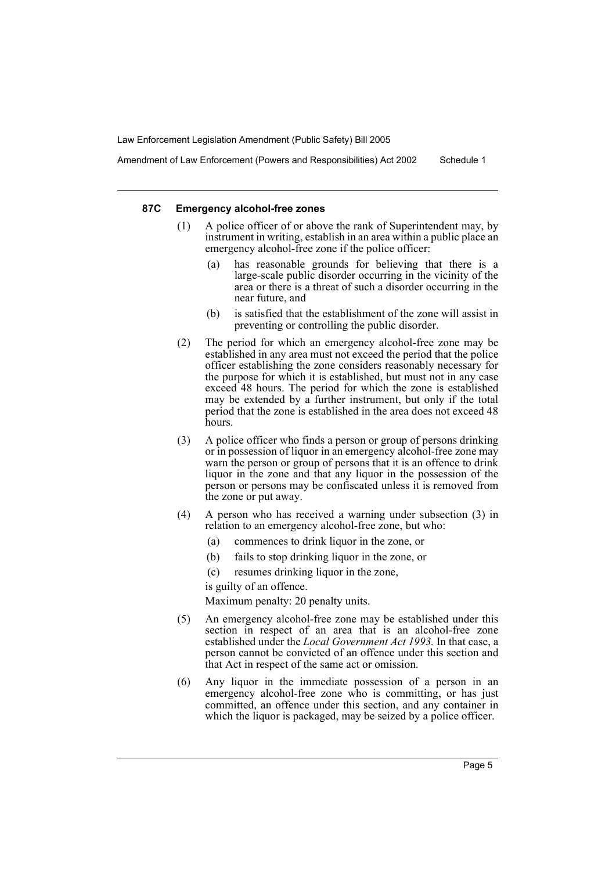Amendment of Law Enforcement (Powers and Responsibilities) Act 2002 Schedule 1

#### **87C Emergency alcohol-free zones**

- (1) A police officer of or above the rank of Superintendent may, by instrument in writing, establish in an area within a public place an emergency alcohol-free zone if the police officer:
	- has reasonable grounds for believing that there is a large-scale public disorder occurring in the vicinity of the area or there is a threat of such a disorder occurring in the near future, and
	- (b) is satisfied that the establishment of the zone will assist in preventing or controlling the public disorder.
- (2) The period for which an emergency alcohol-free zone may be established in any area must not exceed the period that the police officer establishing the zone considers reasonably necessary for the purpose for which it is established, but must not in any case exceed 48 hours. The period for which the zone is established may be extended by a further instrument, but only if the total period that the zone is established in the area does not exceed 48 hours.
- (3) A police officer who finds a person or group of persons drinking or in possession of liquor in an emergency alcohol-free zone may warn the person or group of persons that it is an offence to drink liquor in the zone and that any liquor in the possession of the person or persons may be confiscated unless it is removed from the zone or put away.
- (4) A person who has received a warning under subsection (3) in relation to an emergency alcohol-free zone, but who:
	- (a) commences to drink liquor in the zone, or
	- (b) fails to stop drinking liquor in the zone, or
	- (c) resumes drinking liquor in the zone,

is guilty of an offence.

Maximum penalty: 20 penalty units.

- (5) An emergency alcohol-free zone may be established under this section in respect of an area that is an alcohol-free zone established under the *Local Government Act 1993.* In that case, a person cannot be convicted of an offence under this section and that Act in respect of the same act or omission.
- (6) Any liquor in the immediate possession of a person in an emergency alcohol-free zone who is committing, or has just committed, an offence under this section, and any container in which the liquor is packaged, may be seized by a police officer.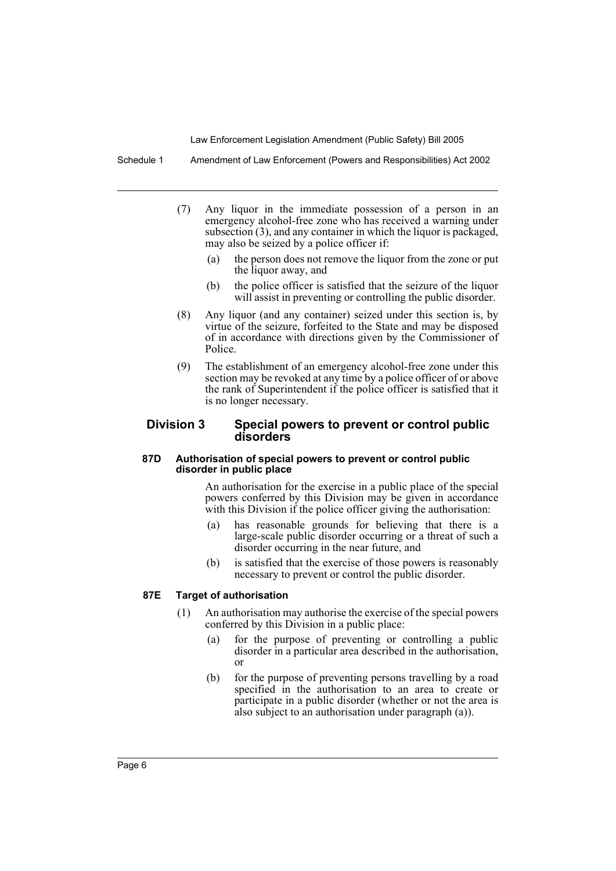Schedule 1 Amendment of Law Enforcement (Powers and Responsibilities) Act 2002

- (7) Any liquor in the immediate possession of a person in an emergency alcohol-free zone who has received a warning under subsection (3), and any container in which the liquor is packaged, may also be seized by a police officer if:
	- (a) the person does not remove the liquor from the zone or put the liquor away, and
	- (b) the police officer is satisfied that the seizure of the liquor will assist in preventing or controlling the public disorder.
- (8) Any liquor (and any container) seized under this section is, by virtue of the seizure, forfeited to the State and may be disposed of in accordance with directions given by the Commissioner of Police.
- (9) The establishment of an emergency alcohol-free zone under this section may be revoked at any time by a police officer of or above the rank of Superintendent if the police officer is satisfied that it is no longer necessary.

## **Division 3 Special powers to prevent or control public disorders**

#### **87D Authorisation of special powers to prevent or control public disorder in public place**

An authorisation for the exercise in a public place of the special powers conferred by this Division may be given in accordance with this Division if the police officer giving the authorisation:

- (a) has reasonable grounds for believing that there is a large-scale public disorder occurring or a threat of such a disorder occurring in the near future, and
- (b) is satisfied that the exercise of those powers is reasonably necessary to prevent or control the public disorder.

## **87E Target of authorisation**

- (1) An authorisation may authorise the exercise of the special powers conferred by this Division in a public place:
	- (a) for the purpose of preventing or controlling a public disorder in a particular area described in the authorisation, or
	- (b) for the purpose of preventing persons travelling by a road specified in the authorisation to an area to create or participate in a public disorder (whether or not the area is also subject to an authorisation under paragraph (a)).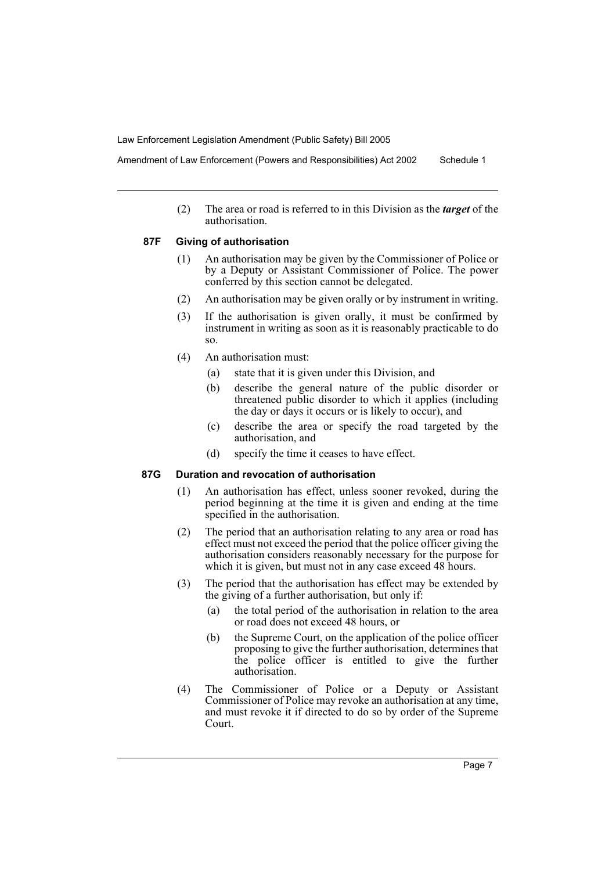Amendment of Law Enforcement (Powers and Responsibilities) Act 2002 Schedule 1

(2) The area or road is referred to in this Division as the *target* of the authorisation.

#### **87F Giving of authorisation**

- (1) An authorisation may be given by the Commissioner of Police or by a Deputy or Assistant Commissioner of Police. The power conferred by this section cannot be delegated.
- (2) An authorisation may be given orally or by instrument in writing.
- (3) If the authorisation is given orally, it must be confirmed by instrument in writing as soon as it is reasonably practicable to do so.
- (4) An authorisation must:
	- (a) state that it is given under this Division, and
	- (b) describe the general nature of the public disorder or threatened public disorder to which it applies (including the day or days it occurs or is likely to occur), and
	- (c) describe the area or specify the road targeted by the authorisation, and
	- (d) specify the time it ceases to have effect.

#### **87G Duration and revocation of authorisation**

- (1) An authorisation has effect, unless sooner revoked, during the period beginning at the time it is given and ending at the time specified in the authorisation.
- (2) The period that an authorisation relating to any area or road has effect must not exceed the period that the police officer giving the authorisation considers reasonably necessary for the purpose for which it is given, but must not in any case exceed 48 hours.
- (3) The period that the authorisation has effect may be extended by the giving of a further authorisation, but only if:
	- (a) the total period of the authorisation in relation to the area or road does not exceed 48 hours, or
	- (b) the Supreme Court, on the application of the police officer proposing to give the further authorisation, determines that the police officer is entitled to give the further authorisation.
- (4) The Commissioner of Police or a Deputy or Assistant Commissioner of Police may revoke an authorisation at any time, and must revoke it if directed to do so by order of the Supreme Court.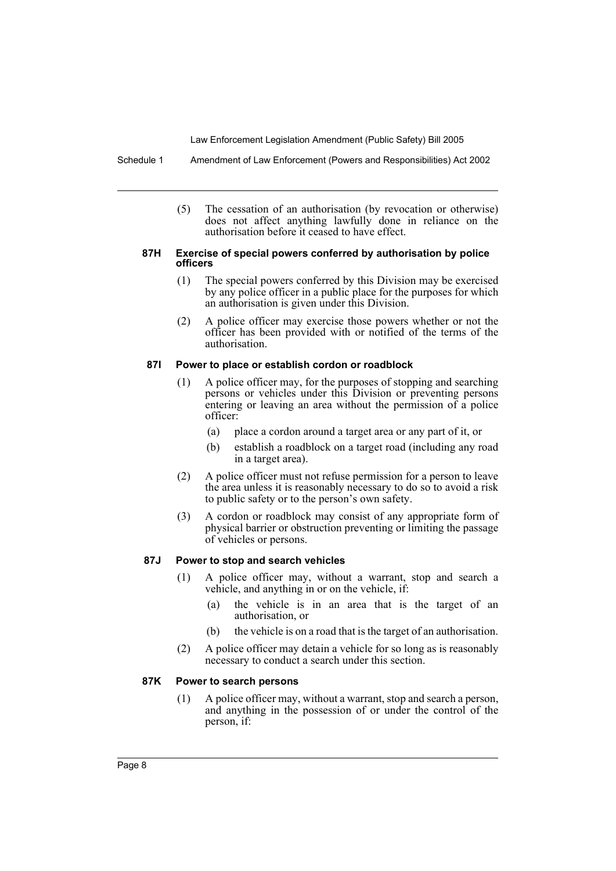Schedule 1 Amendment of Law Enforcement (Powers and Responsibilities) Act 2002

(5) The cessation of an authorisation (by revocation or otherwise) does not affect anything lawfully done in reliance on the authorisation before it ceased to have effect.

#### **87H Exercise of special powers conferred by authorisation by police officers**

- (1) The special powers conferred by this Division may be exercised by any police officer in a public place for the purposes for which an authorisation is given under this Division.
- (2) A police officer may exercise those powers whether or not the officer has been provided with or notified of the terms of the authorisation.

#### **87I Power to place or establish cordon or roadblock**

- (1) A police officer may, for the purposes of stopping and searching persons or vehicles under this Division or preventing persons entering or leaving an area without the permission of a police officer:
	- (a) place a cordon around a target area or any part of it, or
	- (b) establish a roadblock on a target road (including any road in a target area).
- (2) A police officer must not refuse permission for a person to leave the area unless it is reasonably necessary to do so to avoid a risk to public safety or to the person's own safety.
- (3) A cordon or roadblock may consist of any appropriate form of physical barrier or obstruction preventing or limiting the passage of vehicles or persons.

#### **87J Power to stop and search vehicles**

- (1) A police officer may, without a warrant, stop and search a vehicle, and anything in or on the vehicle, if:
	- (a) the vehicle is in an area that is the target of an authorisation, or
	- (b) the vehicle is on a road that is the target of an authorisation.
- (2) A police officer may detain a vehicle for so long as is reasonably necessary to conduct a search under this section.

#### **87K Power to search persons**

(1) A police officer may, without a warrant, stop and search a person, and anything in the possession of or under the control of the person, if: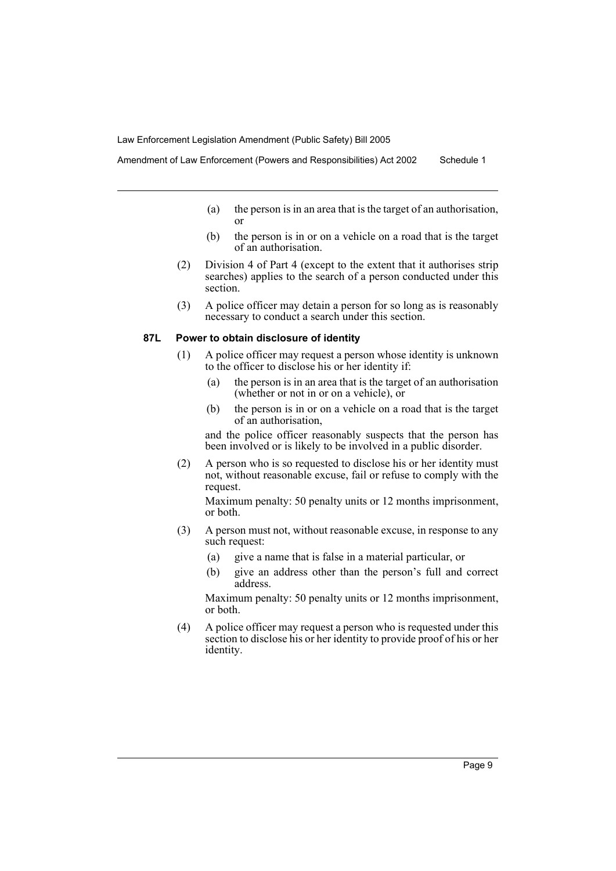- - (a) the person is in an area that is the target of an authorisation, or
	- (b) the person is in or on a vehicle on a road that is the target of an authorisation.
	- (2) Division 4 of Part 4 (except to the extent that it authorises strip searches) applies to the search of a person conducted under this section.
	- (3) A police officer may detain a person for so long as is reasonably necessary to conduct a search under this section.

#### **87L Power to obtain disclosure of identity**

- (1) A police officer may request a person whose identity is unknown to the officer to disclose his or her identity if:
	- (a) the person is in an area that is the target of an authorisation (whether or not in or on a vehicle), or
	- (b) the person is in or on a vehicle on a road that is the target of an authorisation,

and the police officer reasonably suspects that the person has been involved or is likely to be involved in a public disorder.

(2) A person who is so requested to disclose his or her identity must not, without reasonable excuse, fail or refuse to comply with the request.

Maximum penalty: 50 penalty units or 12 months imprisonment, or both.

- (3) A person must not, without reasonable excuse, in response to any such request:
	- (a) give a name that is false in a material particular, or
	- (b) give an address other than the person's full and correct address.

Maximum penalty: 50 penalty units or 12 months imprisonment, or both.

(4) A police officer may request a person who is requested under this section to disclose his or her identity to provide proof of his or her identity.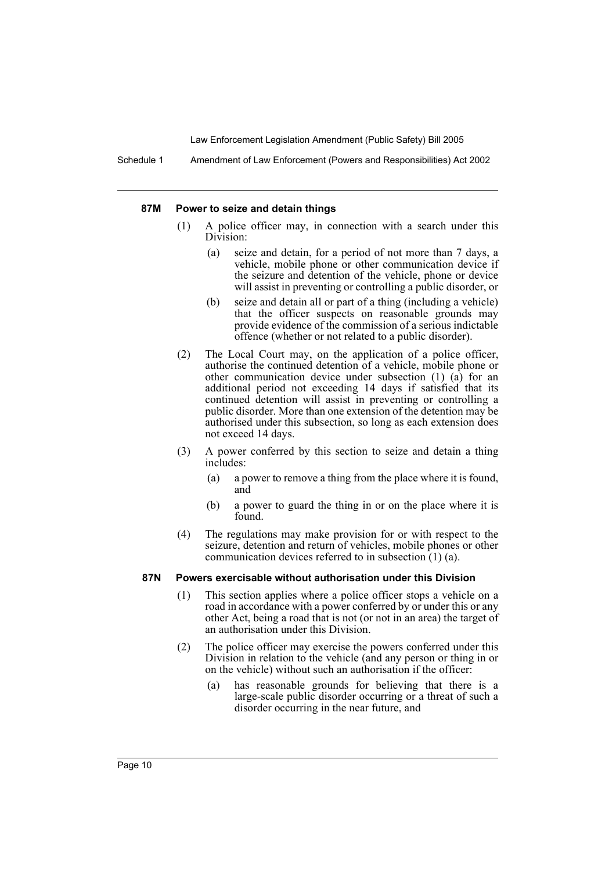Schedule 1 Amendment of Law Enforcement (Powers and Responsibilities) Act 2002

#### **87M Power to seize and detain things**

- (1) A police officer may, in connection with a search under this Division:
	- (a) seize and detain, for a period of not more than 7 days, a vehicle, mobile phone or other communication device if the seizure and detention of the vehicle, phone or device will assist in preventing or controlling a public disorder, or
	- (b) seize and detain all or part of a thing (including a vehicle) that the officer suspects on reasonable grounds may provide evidence of the commission of a serious indictable offence (whether or not related to a public disorder).
- (2) The Local Court may, on the application of a police officer, authorise the continued detention of a vehicle, mobile phone or other communication device under subsection (1) (a) for an additional period not exceeding 14 days if satisfied that its continued detention will assist in preventing or controlling a public disorder. More than one extension of the detention may be authorised under this subsection, so long as each extension does not exceed 14 days.
- (3) A power conferred by this section to seize and detain a thing includes:
	- (a) a power to remove a thing from the place where it is found, and
	- (b) a power to guard the thing in or on the place where it is found.
- (4) The regulations may make provision for or with respect to the seizure, detention and return of vehicles, mobile phones or other communication devices referred to in subsection (1) (a).

#### **87N Powers exercisable without authorisation under this Division**

- (1) This section applies where a police officer stops a vehicle on a road in accordance with a power conferred by or under this or any other Act, being a road that is not (or not in an area) the target of an authorisation under this Division.
- (2) The police officer may exercise the powers conferred under this Division in relation to the vehicle (and any person or thing in or on the vehicle) without such an authorisation if the officer:
	- (a) has reasonable grounds for believing that there is a large-scale public disorder occurring or a threat of such a disorder occurring in the near future, and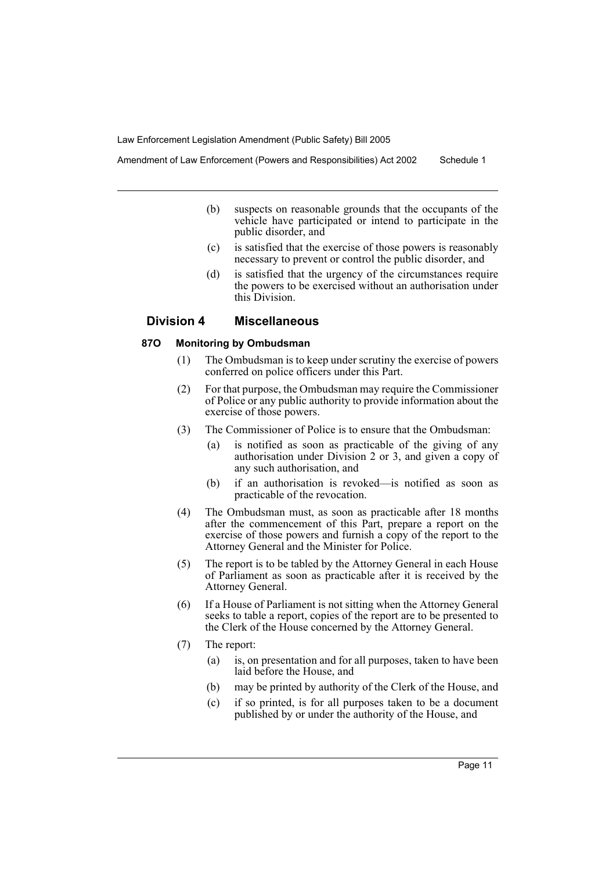Amendment of Law Enforcement (Powers and Responsibilities) Act 2002 Schedule 1

- (b) suspects on reasonable grounds that the occupants of the vehicle have participated or intend to participate in the public disorder, and
- (c) is satisfied that the exercise of those powers is reasonably necessary to prevent or control the public disorder, and
- (d) is satisfied that the urgency of the circumstances require the powers to be exercised without an authorisation under this Division.

## **Division 4 Miscellaneous**

## **87O Monitoring by Ombudsman**

- (1) The Ombudsman is to keep under scrutiny the exercise of powers conferred on police officers under this Part.
- (2) For that purpose, the Ombudsman may require the Commissioner of Police or any public authority to provide information about the exercise of those powers.
- (3) The Commissioner of Police is to ensure that the Ombudsman:
	- (a) is notified as soon as practicable of the giving of any authorisation under Division 2 or 3, and given a copy of any such authorisation, and
	- (b) if an authorisation is revoked—is notified as soon as practicable of the revocation.
- (4) The Ombudsman must, as soon as practicable after 18 months after the commencement of this Part, prepare a report on the exercise of those powers and furnish a copy of the report to the Attorney General and the Minister for Police.
- (5) The report is to be tabled by the Attorney General in each House of Parliament as soon as practicable after it is received by the Attorney General.
- (6) If a House of Parliament is not sitting when the Attorney General seeks to table a report, copies of the report are to be presented to the Clerk of the House concerned by the Attorney General.
- (7) The report:
	- (a) is, on presentation and for all purposes, taken to have been laid before the House, and
	- (b) may be printed by authority of the Clerk of the House, and
	- (c) if so printed, is for all purposes taken to be a document published by or under the authority of the House, and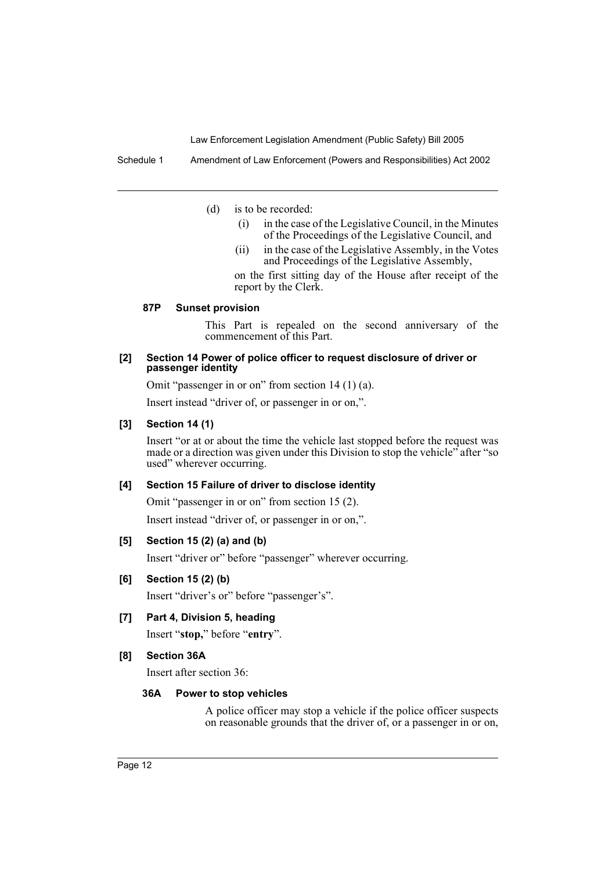Schedule 1 Amendment of Law Enforcement (Powers and Responsibilities) Act 2002

(d) is to be recorded:

- (i) in the case of the Legislative Council, in the Minutes of the Proceedings of the Legislative Council, and
- (ii) in the case of the Legislative Assembly, in the Votes and Proceedings of the Legislative Assembly,

on the first sitting day of the House after receipt of the report by the Clerk.

#### **87P Sunset provision**

This Part is repealed on the second anniversary of the commencement of this Part.

#### **[2] Section 14 Power of police officer to request disclosure of driver or passenger identity**

Omit "passenger in or on" from section 14 (1) (a).

Insert instead "driver of, or passenger in or on,".

#### **[3] Section 14 (1)**

Insert "or at or about the time the vehicle last stopped before the request was made or a direction was given under this Division to stop the vehicle" after "so used" wherever occurring.

### **[4] Section 15 Failure of driver to disclose identity**

Omit "passenger in or on" from section 15 (2).

Insert instead "driver of, or passenger in or on,".

#### **[5] Section 15 (2) (a) and (b)**

Insert "driver or" before "passenger" wherever occurring.

## **[6] Section 15 (2) (b)**

Insert "driver's or" before "passenger's".

## **[7] Part 4, Division 5, heading**

Insert "**stop,**" before "**entry**".

#### **[8] Section 36A**

Insert after section 36:

#### **36A Power to stop vehicles**

A police officer may stop a vehicle if the police officer suspects on reasonable grounds that the driver of, or a passenger in or on,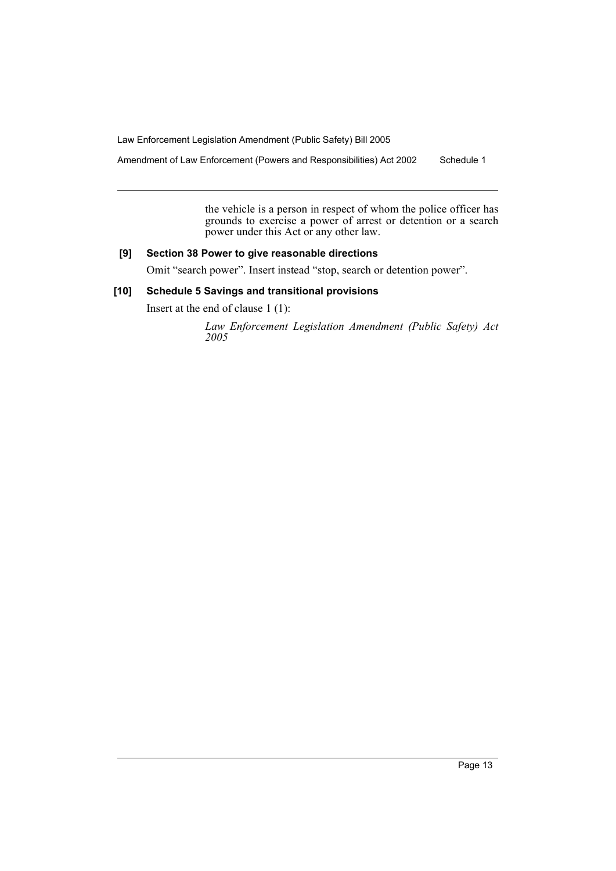Amendment of Law Enforcement (Powers and Responsibilities) Act 2002 Schedule 1

the vehicle is a person in respect of whom the police officer has grounds to exercise a power of arrest or detention or a search power under this Act or any other law.

## **[9] Section 38 Power to give reasonable directions**

Omit "search power". Insert instead "stop, search or detention power".

## **[10] Schedule 5 Savings and transitional provisions**

Insert at the end of clause 1 (1):

*Law Enforcement Legislation Amendment (Public Safety) Act 2005*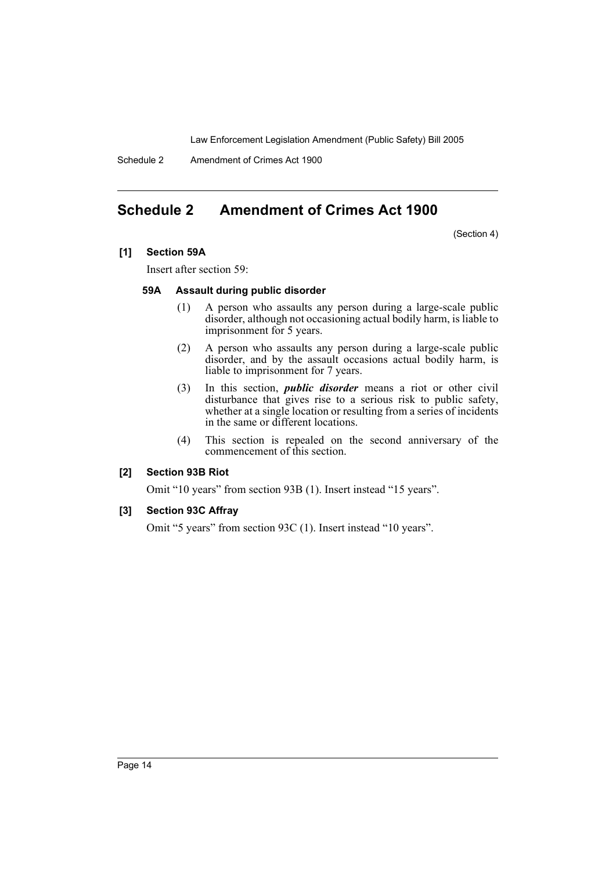Schedule 2 Amendment of Crimes Act 1900

# **Schedule 2 Amendment of Crimes Act 1900**

(Section 4)

### **[1] Section 59A**

Insert after section 59:

### **59A Assault during public disorder**

- (1) A person who assaults any person during a large-scale public disorder, although not occasioning actual bodily harm, is liable to imprisonment for 5 years.
- (2) A person who assaults any person during a large-scale public disorder, and by the assault occasions actual bodily harm, is liable to imprisonment for 7 years.
- (3) In this section, *public disorder* means a riot or other civil disturbance that gives rise to a serious risk to public safety, whether at a single location or resulting from a series of incidents in the same or different locations.
- (4) This section is repealed on the second anniversary of the commencement of this section.

## **[2] Section 93B Riot**

Omit "10 years" from section 93B (1). Insert instead "15 years".

## **[3] Section 93C Affray**

Omit "5 years" from section 93C (1). Insert instead "10 years".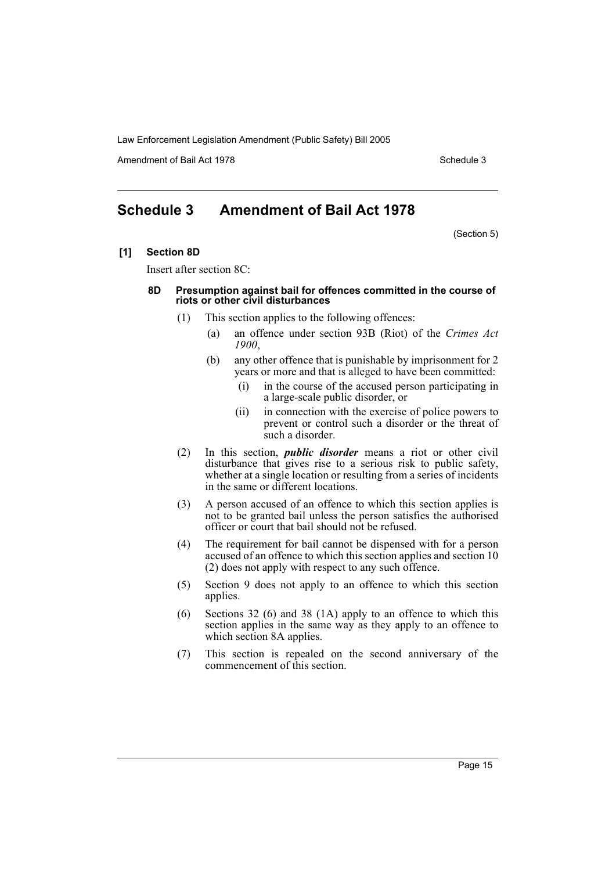Amendment of Bail Act 1978 Schedule 3

# **Schedule 3 Amendment of Bail Act 1978**

(Section 5)

**[1] Section 8D**

Insert after section 8C:

#### **8D Presumption against bail for offences committed in the course of riots or other civil disturbances**

- (1) This section applies to the following offences:
	- (a) an offence under section 93B (Riot) of the *Crimes Act 1900*,
	- (b) any other offence that is punishable by imprisonment for 2 years or more and that is alleged to have been committed:
		- (i) in the course of the accused person participating in a large-scale public disorder, or
		- (ii) in connection with the exercise of police powers to prevent or control such a disorder or the threat of such a disorder.
- (2) In this section, *public disorder* means a riot or other civil disturbance that gives rise to a serious risk to public safety, whether at a single location or resulting from a series of incidents in the same or different locations.
- (3) A person accused of an offence to which this section applies is not to be granted bail unless the person satisfies the authorised officer or court that bail should not be refused.
- (4) The requirement for bail cannot be dispensed with for a person accused of an offence to which this section applies and section 10 (2) does not apply with respect to any such offence.
- (5) Section 9 does not apply to an offence to which this section applies.
- (6) Sections 32 (6) and 38 (1A) apply to an offence to which this section applies in the same way as they apply to an offence to which section 8A applies.
- (7) This section is repealed on the second anniversary of the commencement of this section.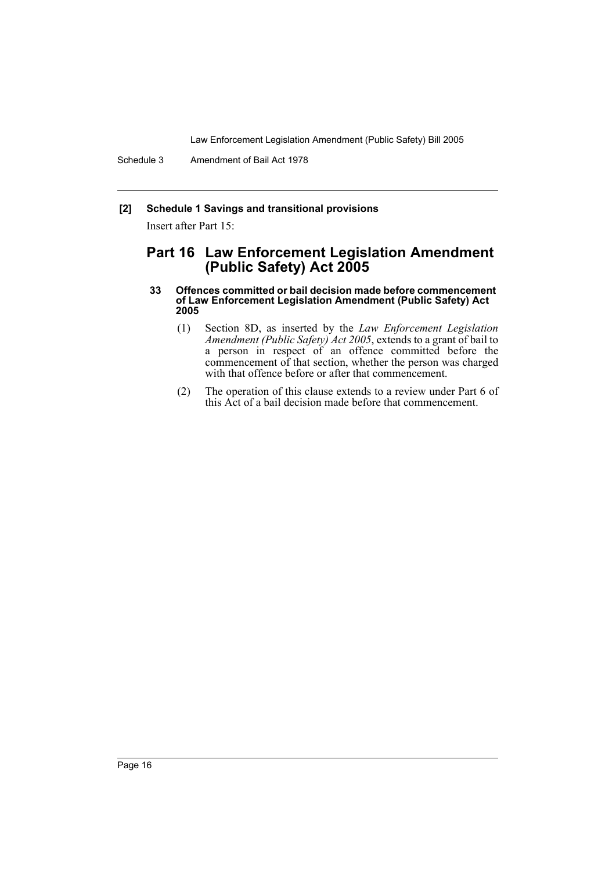Schedule 3 Amendment of Bail Act 1978

## **[2] Schedule 1 Savings and transitional provisions**

Insert after Part 15:

## **Part 16 Law Enforcement Legislation Amendment (Public Safety) Act 2005**

#### **33 Offences committed or bail decision made before commencement of Law Enforcement Legislation Amendment (Public Safety) Act 2005**

- (1) Section 8D, as inserted by the *Law Enforcement Legislation Amendment (Public Safety) Act 2005*, extends to a grant of bail to a person in respect of an offence committed before the commencement of that section, whether the person was charged with that offence before or after that commencement.
- (2) The operation of this clause extends to a review under Part 6 of this Act of a bail decision made before that commencement.